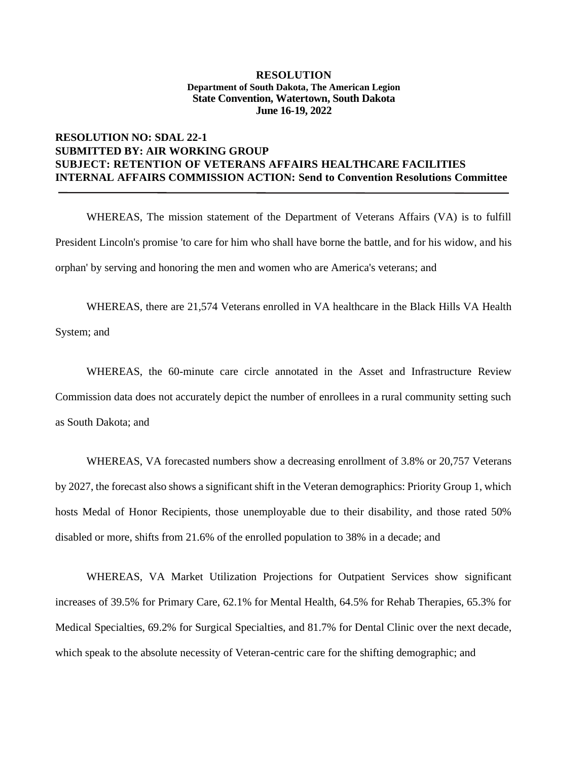## **RESOLUTION NO: SDAL 22-1 SUBMITTED BY: AIR WORKING GROUP SUBJECT: RETENTION OF VETERANS AFFAIRS HEALTHCARE FACILITIES INTERNAL AFFAIRS COMMISSION ACTION: Send to Convention Resolutions Committee**

WHEREAS, The mission statement of the Department of Veterans Affairs (VA) is to fulfill President Lincoln's promise 'to care for him who shall have borne the battle, and for his widow, and his orphan' by serving and honoring the men and women who are America's veterans; and

WHEREAS, there are 21,574 Veterans enrolled in VA healthcare in the Black Hills VA Health System; and

WHEREAS, the 60-minute care circle annotated in the Asset and Infrastructure Review Commission data does not accurately depict the number of enrollees in a rural community setting such as South Dakota; and

WHEREAS, VA forecasted numbers show a decreasing enrollment of 3.8% or 20,757 Veterans by 2027, the forecast also shows a significant shift in the Veteran demographics: Priority Group 1, which hosts Medal of Honor Recipients, those unemployable due to their disability, and those rated 50% disabled or more, shifts from 21.6% of the enrolled population to 38% in a decade; and

WHEREAS, VA Market Utilization Projections for Outpatient Services show significant increases of 39.5% for Primary Care, 62.1% for Mental Health, 64.5% for Rehab Therapies, 65.3% for Medical Specialties, 69.2% for Surgical Specialties, and 81.7% for Dental Clinic over the next decade, which speak to the absolute necessity of Veteran-centric care for the shifting demographic; and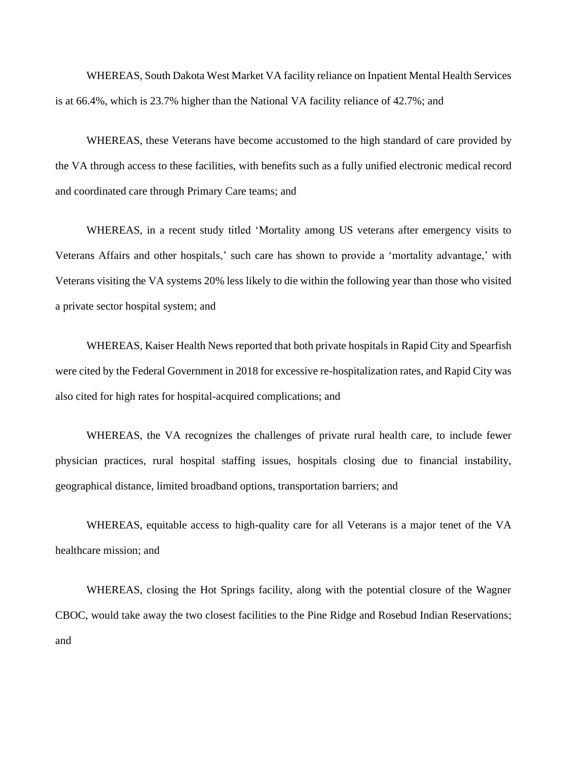WHEREAS, South Dakota West Market VA facility reliance on Inpatient Mental Health Services is at 66.4%, which is 23.7% higher than the National VA facility reliance of 42.7%; and

WHEREAS, these Veterans have become accustomed to the high standard of care provided by the VA through access to these facilities, with benefits such as a fully unified electronic medical record and coordinated care through Primary Care teams; and

WHEREAS, in a recent study titled 'Mortality among US veterans after emergency visits to Veterans Affairs and other hospitals,' such care has shown to provide a 'mortality advantage,' with Veterans visiting the VA systems 20% less likely to die within the following year than those who visited a private sector hospital system; and

WHEREAS, Kaiser Health News reported that both private hospitals in Rapid City and Spearfish were cited by the Federal Government in 2018 for excessive re-hospitalization rates, and Rapid City was also cited for high rates for hospital-acquired complications; and

WHEREAS, the VA recognizes the challenges of private rural health care, to include fewer physician practices, rural hospital staffing issues, hospitals closing due to financial instability, geographical distance, limited broadband options, transportation barriers; and

WHEREAS, equitable access to high-quality care for all Veterans is a major tenet of the VA healthcare mission; and

WHEREAS, closing the Hot Springs facility, along with the potential closure of the Wagner CBOC, would take away the two closest facilities to the Pine Ridge and Rosebud Indian Reservations; and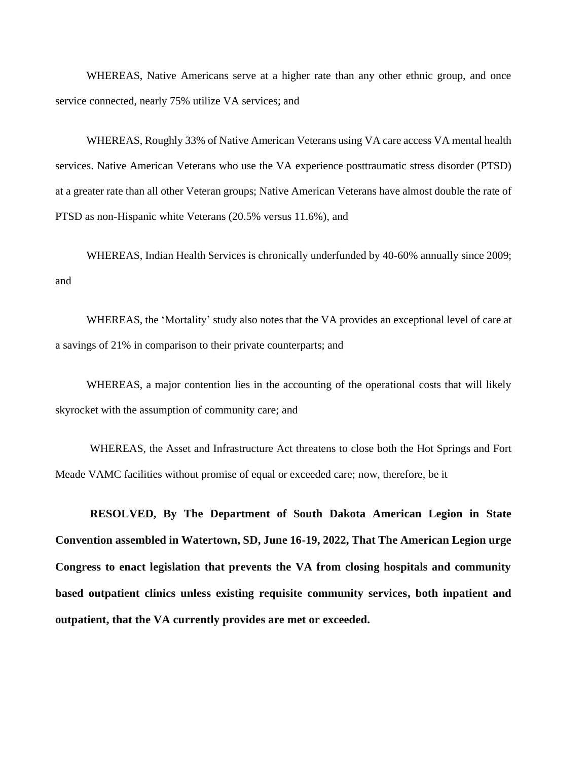WHEREAS, Native Americans serve at a higher rate than any other ethnic group, and once service connected, nearly 75% utilize VA services; and

WHEREAS, Roughly 33% of Native American Veterans using VA care access VA mental health services. Native American Veterans who use the VA experience posttraumatic stress disorder (PTSD) at a greater rate than all other Veteran groups; Native American Veterans have almost double the rate of PTSD as non-Hispanic white Veterans (20.5% versus 11.6%), and

WHEREAS, Indian Health Services is chronically underfunded by 40-60% annually since 2009; and

WHEREAS, the 'Mortality' study also notes that the VA provides an exceptional level of care at a savings of 21% in comparison to their private counterparts; and

WHEREAS, a major contention lies in the accounting of the operational costs that will likely skyrocket with the assumption of community care; and

WHEREAS, the Asset and Infrastructure Act threatens to close both the Hot Springs and Fort Meade VAMC facilities without promise of equal or exceeded care; now, therefore, be it

**RESOLVED, By The Department of South Dakota American Legion in State Convention assembled in Watertown, SD, June 16-19, 2022, That The American Legion urge Congress to enact legislation that prevents the VA from closing hospitals and community based outpatient clinics unless existing requisite community services, both inpatient and outpatient, that the VA currently provides are met or exceeded.**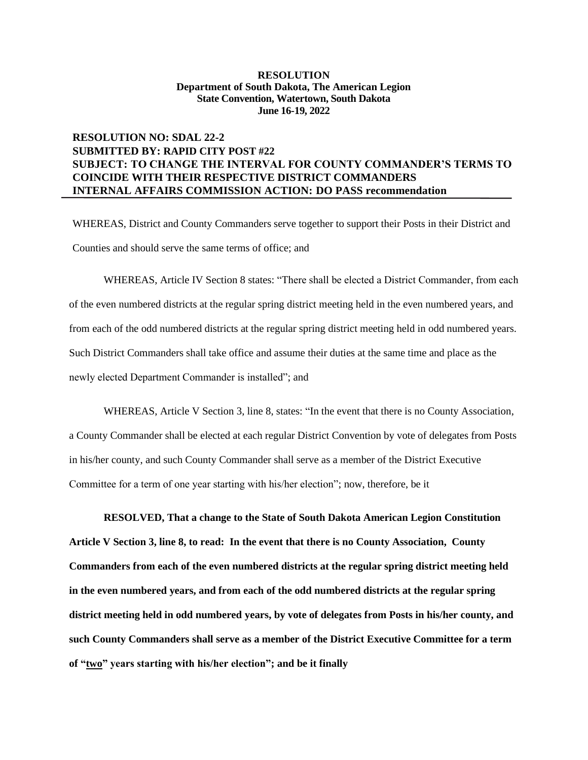## **RESOLUTION NO: SDAL 22-2 SUBMITTED BY: RAPID CITY POST #22 SUBJECT: TO CHANGE THE INTERVAL FOR COUNTY COMMANDER'S TERMS TO COINCIDE WITH THEIR RESPECTIVE DISTRICT COMMANDERS INTERNAL AFFAIRS COMMISSION ACTION: DO PASS recommendation**

WHEREAS, District and County Commanders serve together to support their Posts in their District and Counties and should serve the same terms of office; and

WHEREAS, Article IV Section 8 states: "There shall be elected a District Commander, from each of the even numbered districts at the regular spring district meeting held in the even numbered years, and from each of the odd numbered districts at the regular spring district meeting held in odd numbered years. Such District Commanders shall take office and assume their duties at the same time and place as the newly elected Department Commander is installed"; and

WHEREAS, Article V Section 3, line 8, states: "In the event that there is no County Association, a County Commander shall be elected at each regular District Convention by vote of delegates from Posts in his/her county, and such County Commander shall serve as a member of the District Executive Committee for a term of one year starting with his/her election"; now, therefore, be it

**RESOLVED, That a change to the State of South Dakota American Legion Constitution Article V Section 3, line 8, to read: In the event that there is no County Association, County Commanders from each of the even numbered districts at the regular spring district meeting held in the even numbered years, and from each of the odd numbered districts at the regular spring district meeting held in odd numbered years, by vote of delegates from Posts in his/her county, and such County Commanders shall serve as a member of the District Executive Committee for a term of "two" years starting with his/her election"; and be it finally**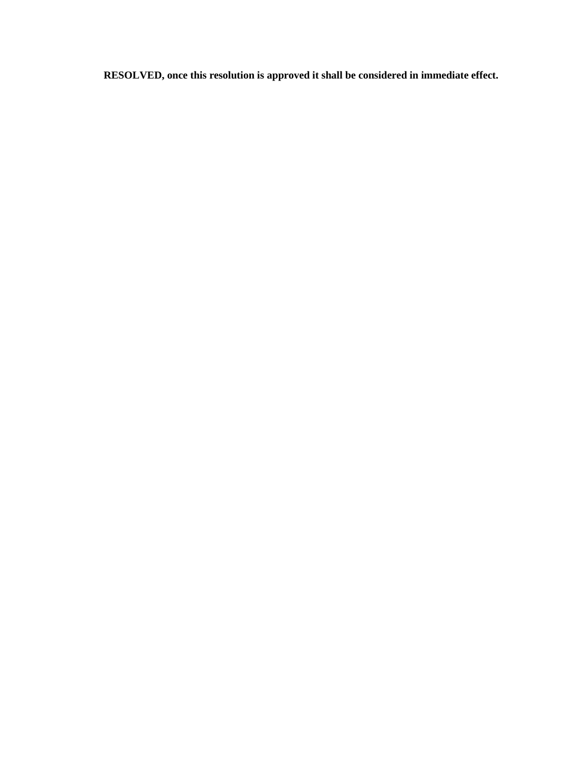**RESOLVED, once this resolution is approved it shall be considered in immediate effect.**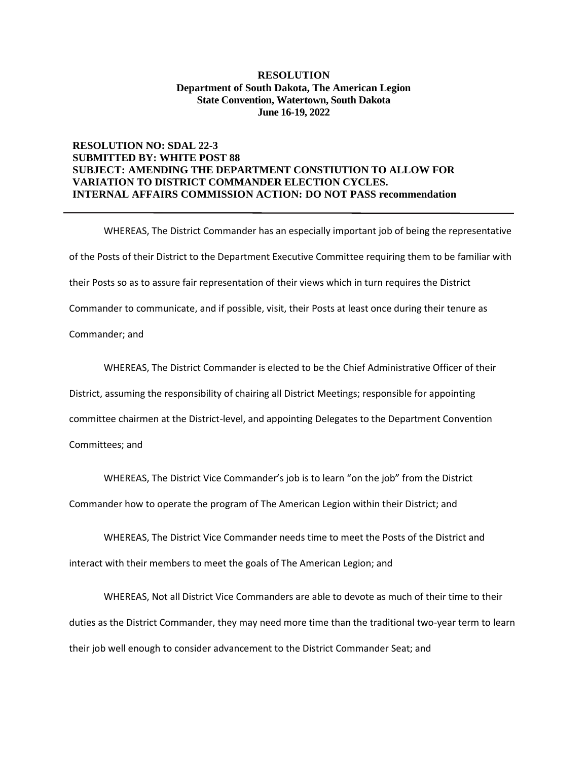### **RESOLUTION NO: SDAL 22-3 SUBMITTED BY: WHITE POST 88 SUBJECT: AMENDING THE DEPARTMENT CONSTIUTION TO ALLOW FOR VARIATION TO DISTRICT COMMANDER ELECTION CYCLES. INTERNAL AFFAIRS COMMISSION ACTION: DO NOT PASS recommendation**

WHEREAS, The District Commander has an especially important job of being the representative of the Posts of their District to the Department Executive Committee requiring them to be familiar with their Posts so as to assure fair representation of their views which in turn requires the District Commander to communicate, and if possible, visit, their Posts at least once during their tenure as Commander; and

WHEREAS, The District Commander is elected to be the Chief Administrative Officer of their

District, assuming the responsibility of chairing all District Meetings; responsible for appointing

committee chairmen at the District-level, and appointing Delegates to the Department Convention

Committees; and

WHEREAS, The District Vice Commander's job is to learn "on the job" from the District

Commander how to operate the program of The American Legion within their District; and

WHEREAS, The District Vice Commander needs time to meet the Posts of the District and interact with their members to meet the goals of The American Legion; and

WHEREAS, Not all District Vice Commanders are able to devote as much of their time to their duties as the District Commander, they may need more time than the traditional two-year term to learn their job well enough to consider advancement to the District Commander Seat; and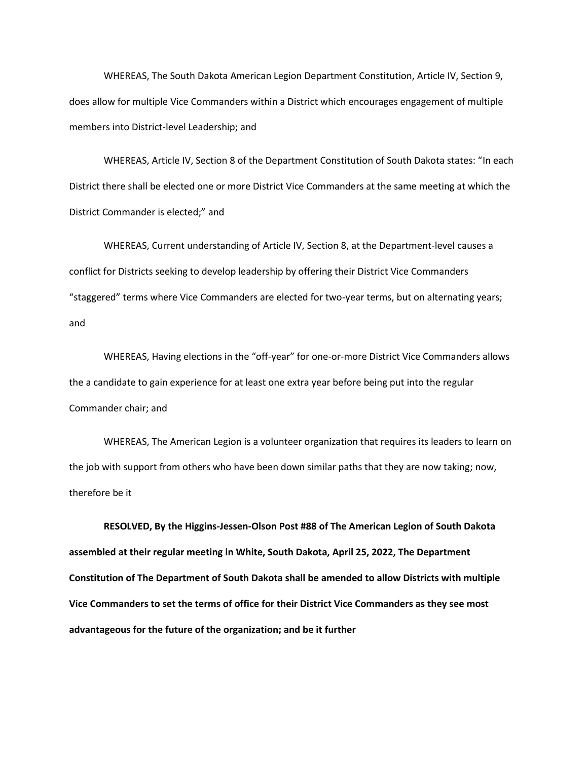WHEREAS, The South Dakota American Legion Department Constitution, Article IV, Section 9, does allow for multiple Vice Commanders within a District which encourages engagement of multiple members into District-level Leadership; and

WHEREAS, Article IV, Section 8 of the Department Constitution of South Dakota states: "In each District there shall be elected one or more District Vice Commanders at the same meeting at which the District Commander is elected;" and

WHEREAS, Current understanding of Article IV, Section 8, at the Department-level causes a conflict for Districts seeking to develop leadership by offering their District Vice Commanders "staggered" terms where Vice Commanders are elected for two-year terms, but on alternating years; and

WHEREAS, Having elections in the "off-year" for one-or-more District Vice Commanders allows the a candidate to gain experience for at least one extra year before being put into the regular Commander chair; and

WHEREAS, The American Legion is a volunteer organization that requires its leaders to learn on the job with support from others who have been down similar paths that they are now taking; now, therefore be it

**RESOLVED, By the Higgins-Jessen-Olson Post #88 of The American Legion of South Dakota assembled at their regular meeting in White, South Dakota, April 25, 2022, The Department Constitution of The Department of South Dakota shall be amended to allow Districts with multiple Vice Commanders to set the terms of office for their District Vice Commanders as they see most advantageous for the future of the organization; and be it further**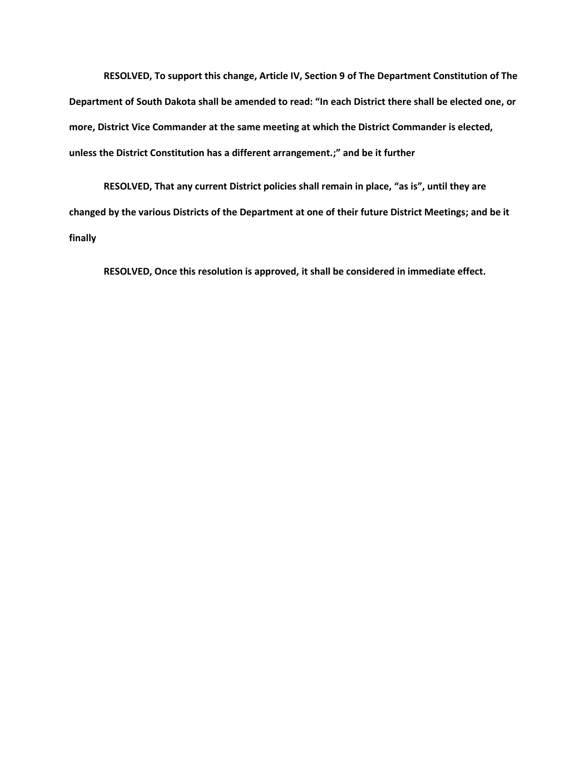**RESOLVED, To support this change, Article IV, Section 9 of The Department Constitution of The Department of South Dakota shall be amended to read: "In each District there shall be elected one, or more, District Vice Commander at the same meeting at which the District Commander is elected, unless the District Constitution has a different arrangement.;" and be it further**

**RESOLVED, That any current District policies shall remain in place, "as is", until they are changed by the various Districts of the Department at one of their future District Meetings; and be it finally**

**RESOLVED, Once this resolution is approved, it shall be considered in immediate effect.**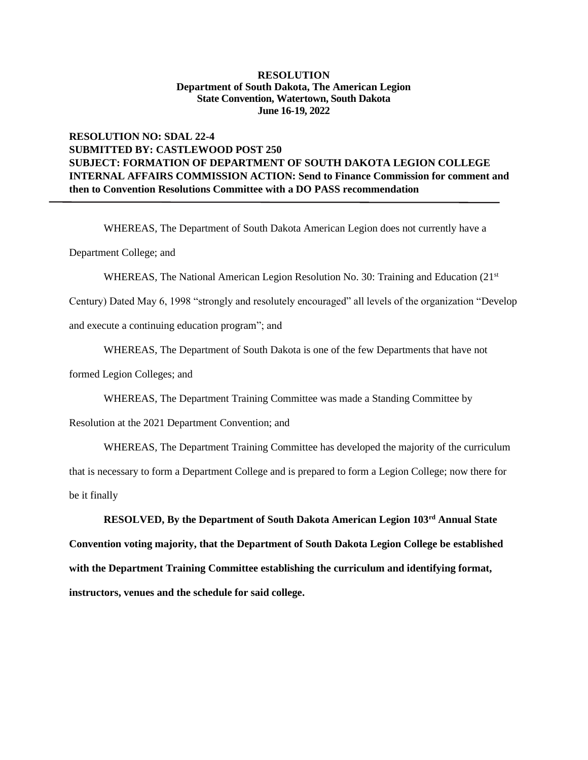## **RESOLUTION NO: SDAL 22-4 SUBMITTED BY: CASTLEWOOD POST 250 SUBJECT: FORMATION OF DEPARTMENT OF SOUTH DAKOTA LEGION COLLEGE INTERNAL AFFAIRS COMMISSION ACTION: Send to Finance Commission for comment and then to Convention Resolutions Committee with a DO PASS recommendation**

WHEREAS, The Department of South Dakota American Legion does not currently have a

Department College; and

WHEREAS, The National American Legion Resolution No. 30: Training and Education (21<sup>st</sup>

Century) Dated May 6, 1998 "strongly and resolutely encouraged" all levels of the organization "Develop and execute a continuing education program"; and

WHEREAS, The Department of South Dakota is one of the few Departments that have not

formed Legion Colleges; and

WHEREAS, The Department Training Committee was made a Standing Committee by

Resolution at the 2021 Department Convention; and

WHEREAS, The Department Training Committee has developed the majority of the curriculum that is necessary to form a Department College and is prepared to form a Legion College; now there for be it finally

**RESOLVED, By the Department of South Dakota American Legion 103rd Annual State Convention voting majority, that the Department of South Dakota Legion College be established with the Department Training Committee establishing the curriculum and identifying format, instructors, venues and the schedule for said college.**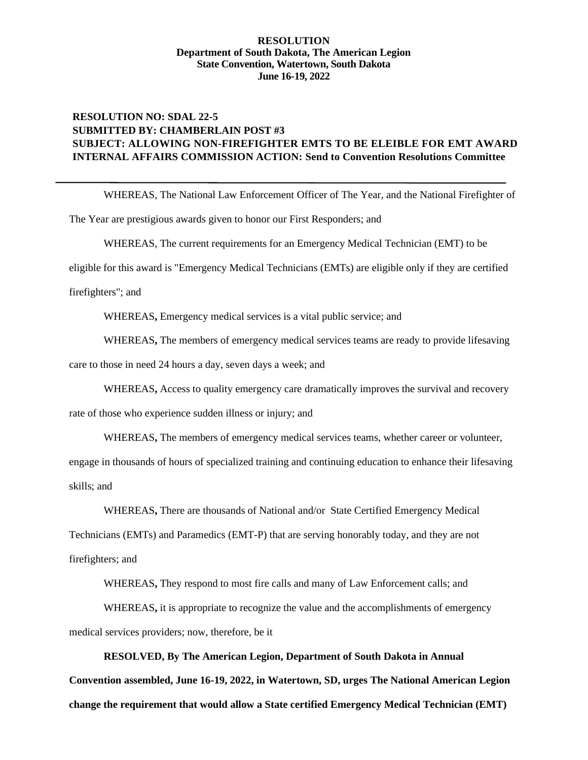## **RESOLUTION NO: SDAL 22-5 SUBMITTED BY: CHAMBERLAIN POST #3 SUBJECT: ALLOWING NON-FIREFIGHTER EMTS TO BE ELEIBLE FOR EMT AWARD INTERNAL AFFAIRS COMMISSION ACTION: Send to Convention Resolutions Committee**

WHEREAS, The National Law Enforcement Officer of The Year, and the National Firefighter of

The Year are prestigious awards given to honor our First Responders; and

WHEREAS, The current requirements for an Emergency Medical Technician (EMT) to be

eligible for this award is "Emergency Medical Technicians (EMTs) are eligible only if they are certified

firefighters"; and

WHEREAS**,** Emergency medical services is a vital public service; and

WHEREAS**,** The members of emergency medical services teams are ready to provide lifesaving

care to those in need 24 hours a day, seven days a week; and

WHEREAS**,** Access to quality emergency care dramatically improves the survival and recovery

rate of those who experience sudden illness or injury; and

WHEREAS**,** The members of emergency medical services teams, whether career or volunteer,

engage in thousands of hours of specialized training and continuing education to enhance their lifesaving skills; and

WHEREAS**,** There are thousands of National and/or State Certified Emergency Medical

Technicians (EMTs) and Paramedics (EMT-P) that are serving honorably today, and they are not firefighters; and

WHEREAS**,** They respond to most fire calls and many of Law Enforcement calls; and

WHEREAS**,** it is appropriate to recognize the value and the accomplishments of emergency medical services providers; now, therefore, be it

**RESOLVED, By The American Legion, Department of South Dakota in Annual Convention assembled, June 16-19, 2022, in Watertown, SD, urges The National American Legion change the requirement that would allow a State certified Emergency Medical Technician (EMT)**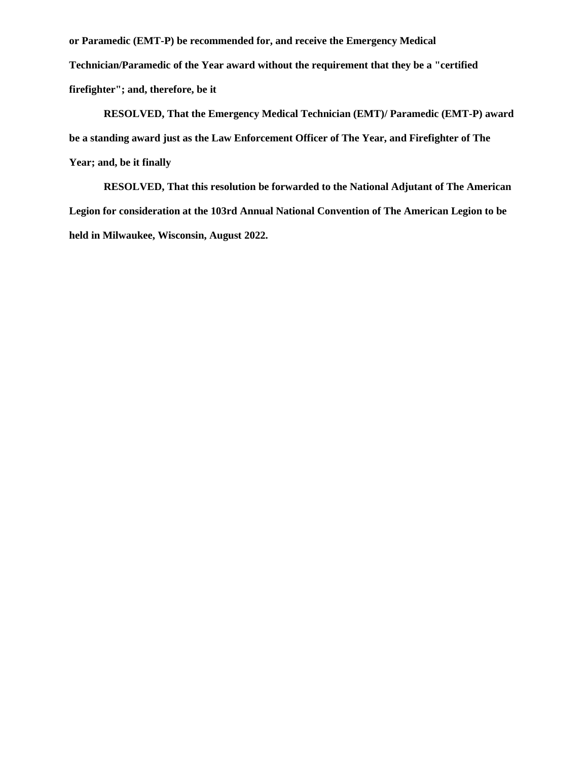**or Paramedic (EMT-P) be recommended for, and receive the Emergency Medical Technician/Paramedic of the Year award without the requirement that they be a "certified firefighter"; and, therefore, be it**

**RESOLVED, That the Emergency Medical Technician (EMT)/ Paramedic (EMT-P) award be a standing award just as the Law Enforcement Officer of The Year, and Firefighter of The Year; and, be it finally**

**RESOLVED, That this resolution be forwarded to the National Adjutant of The American Legion for consideration at the 103rd Annual National Convention of The American Legion to be held in Milwaukee, Wisconsin, August 2022.**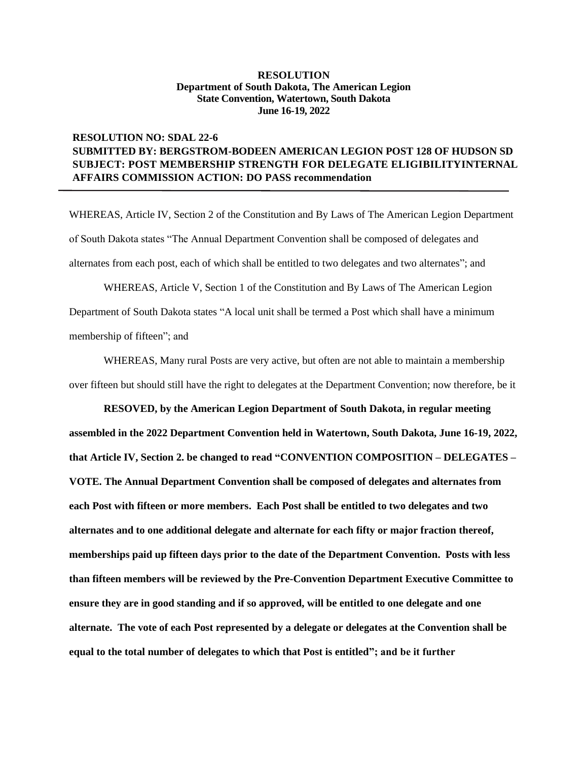## **RESOLUTION NO: SDAL 22-6 SUBMITTED BY: BERGSTROM-BODEEN AMERICAN LEGION POST 128 OF HUDSON SD SUBJECT: POST MEMBERSHIP STRENGTH FOR DELEGATE ELIGIBILITYINTERNAL AFFAIRS COMMISSION ACTION: DO PASS recommendation**

WHEREAS, Article IV, Section 2 of the Constitution and By Laws of The American Legion Department of South Dakota states "The Annual Department Convention shall be composed of delegates and alternates from each post, each of which shall be entitled to two delegates and two alternates"; and

WHEREAS, Article V, Section 1 of the Constitution and By Laws of The American Legion Department of South Dakota states "A local unit shall be termed a Post which shall have a minimum membership of fifteen"; and

WHEREAS, Many rural Posts are very active, but often are not able to maintain a membership over fifteen but should still have the right to delegates at the Department Convention; now therefore, be it

**RESOVED, by the American Legion Department of South Dakota, in regular meeting assembled in the 2022 Department Convention held in Watertown, South Dakota, June 16-19, 2022, that Article IV, Section 2. be changed to read "CONVENTION COMPOSITION – DELEGATES – VOTE. The Annual Department Convention shall be composed of delegates and alternates from each Post with fifteen or more members. Each Post shall be entitled to two delegates and two alternates and to one additional delegate and alternate for each fifty or major fraction thereof, memberships paid up fifteen days prior to the date of the Department Convention. Posts with less than fifteen members will be reviewed by the Pre-Convention Department Executive Committee to ensure they are in good standing and if so approved, will be entitled to one delegate and one alternate. The vote of each Post represented by a delegate or delegates at the Convention shall be equal to the total number of delegates to which that Post is entitled"; and be it further**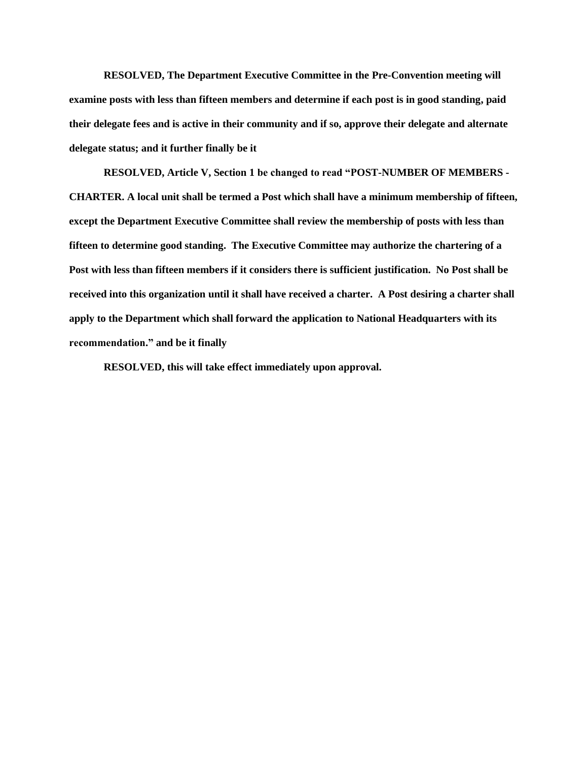**RESOLVED, The Department Executive Committee in the Pre-Convention meeting will examine posts with less than fifteen members and determine if each post is in good standing, paid their delegate fees and is active in their community and if so, approve their delegate and alternate delegate status; and it further finally be it** 

**RESOLVED, Article V, Section 1 be changed to read "POST-NUMBER OF MEMBERS - CHARTER. A local unit shall be termed a Post which shall have a minimum membership of fifteen, except the Department Executive Committee shall review the membership of posts with less than fifteen to determine good standing. The Executive Committee may authorize the chartering of a Post with less than fifteen members if it considers there is sufficient justification. No Post shall be received into this organization until it shall have received a charter. A Post desiring a charter shall apply to the Department which shall forward the application to National Headquarters with its recommendation." and be it finally** 

**RESOLVED, this will take effect immediately upon approval.**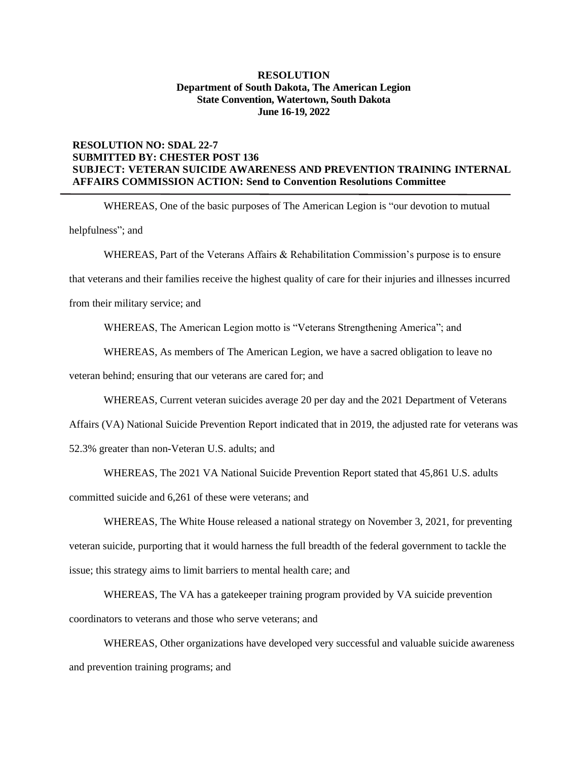### **RESOLUTION NO: SDAL 22-7 SUBMITTED BY: CHESTER POST 136 SUBJECT: VETERAN SUICIDE AWARENESS AND PREVENTION TRAINING INTERNAL AFFAIRS COMMISSION ACTION: Send to Convention Resolutions Committee**

WHEREAS, One of the basic purposes of The American Legion is "our devotion to mutual helpfulness"; and

WHEREAS, Part of the Veterans Affairs & Rehabilitation Commission's purpose is to ensure

that veterans and their families receive the highest quality of care for their injuries and illnesses incurred

from their military service; and

WHEREAS, The American Legion motto is "Veterans Strengthening America"; and

WHEREAS, As members of The American Legion, we have a sacred obligation to leave no

veteran behind; ensuring that our veterans are cared for; and

WHEREAS, Current veteran suicides average 20 per day and the 2021 Department of Veterans

Affairs (VA) National Suicide Prevention Report indicated that in 2019, the adjusted rate for veterans was 52.3% greater than non-Veteran U.S. adults; and

WHEREAS, The 2021 VA National Suicide Prevention Report stated that 45,861 U.S. adults

committed suicide and 6,261 of these were veterans; and

WHEREAS, The White House released a national strategy on November 3, 2021, for preventing veteran suicide, purporting that it would harness the full breadth of the federal government to tackle the issue; this strategy aims to limit barriers to mental health care; and

WHEREAS, The VA has a gatekeeper training program provided by VA suicide prevention coordinators to veterans and those who serve veterans; and

WHEREAS, Other organizations have developed very successful and valuable suicide awareness and prevention training programs; and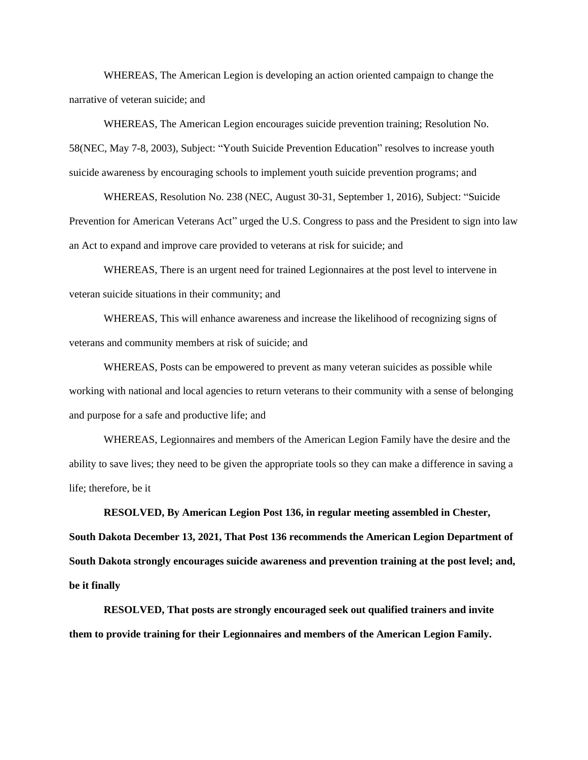WHEREAS, The American Legion is developing an action oriented campaign to change the narrative of veteran suicide; and

WHEREAS, The American Legion encourages suicide prevention training; Resolution No. 58(NEC, May 7-8, 2003), Subject: "Youth Suicide Prevention Education" resolves to increase youth suicide awareness by encouraging schools to implement youth suicide prevention programs; and

WHEREAS, Resolution No. 238 (NEC, August 30-31, September 1, 2016), Subject: "Suicide Prevention for American Veterans Act" urged the U.S. Congress to pass and the President to sign into law an Act to expand and improve care provided to veterans at risk for suicide; and

WHEREAS, There is an urgent need for trained Legionnaires at the post level to intervene in veteran suicide situations in their community; and

WHEREAS, This will enhance awareness and increase the likelihood of recognizing signs of veterans and community members at risk of suicide; and

WHEREAS, Posts can be empowered to prevent as many veteran suicides as possible while working with national and local agencies to return veterans to their community with a sense of belonging and purpose for a safe and productive life; and

WHEREAS, Legionnaires and members of the American Legion Family have the desire and the ability to save lives; they need to be given the appropriate tools so they can make a difference in saving a life; therefore, be it

**RESOLVED, By American Legion Post 136, in regular meeting assembled in Chester, South Dakota December 13, 2021, That Post 136 recommends the American Legion Department of South Dakota strongly encourages suicide awareness and prevention training at the post level; and, be it finally**

**RESOLVED, That posts are strongly encouraged seek out qualified trainers and invite them to provide training for their Legionnaires and members of the American Legion Family.**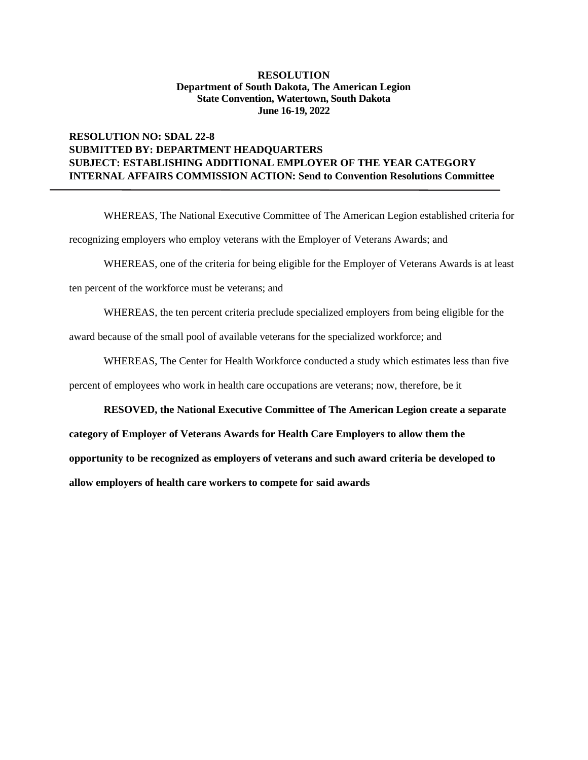### **RESOLUTION NO: SDAL 22-8 SUBMITTED BY: DEPARTMENT HEADQUARTERS SUBJECT: ESTABLISHING ADDITIONAL EMPLOYER OF THE YEAR CATEGORY INTERNAL AFFAIRS COMMISSION ACTION: Send to Convention Resolutions Committee**

WHEREAS, The National Executive Committee of The American Legion established criteria for recognizing employers who employ veterans with the Employer of Veterans Awards; and

WHEREAS, one of the criteria for being eligible for the Employer of Veterans Awards is at least

ten percent of the workforce must be veterans; and

WHEREAS, the ten percent criteria preclude specialized employers from being eligible for the

award because of the small pool of available veterans for the specialized workforce; and

WHEREAS, The Center for Health Workforce conducted a study which estimates less than five

percent of employees who work in health care occupations are veterans; now, therefore, be it

**RESOVED, the National Executive Committee of The American Legion create a separate** 

**category of Employer of Veterans Awards for Health Care Employers to allow them the opportunity to be recognized as employers of veterans and such award criteria be developed to allow employers of health care workers to compete for said awards**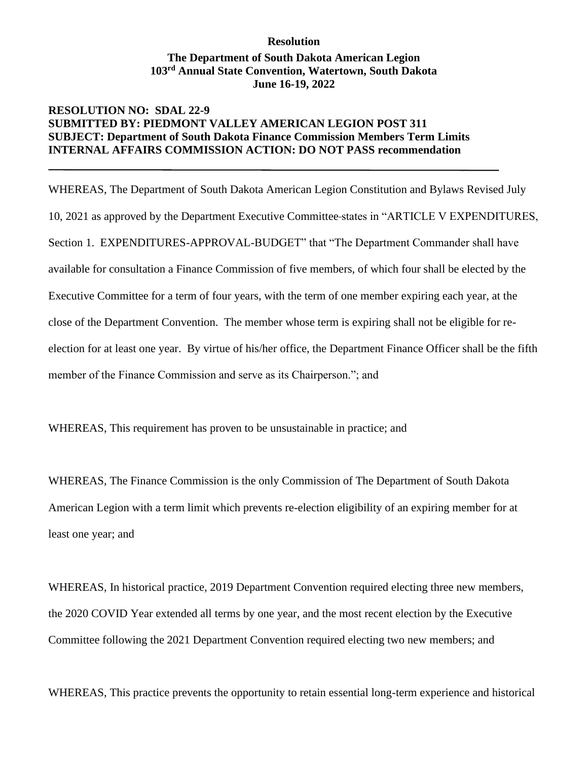# **Resolution**

## **The Department of South Dakota American Legion 103rd Annual State Convention, Watertown, South Dakota June 16-19, 2022**

## **RESOLUTION NO: SDAL 22-9 SUBMITTED BY: PIEDMONT VALLEY AMERICAN LEGION POST 311 SUBJECT: Department of South Dakota Finance Commission Members Term Limits INTERNAL AFFAIRS COMMISSION ACTION: DO NOT PASS recommendation**

WHEREAS, The Department of South Dakota American Legion Constitution and Bylaws Revised July 10, 2021 as approved by the Department Executive Committee states in "ARTICLE V EXPENDITURES, Section 1. EXPENDITURES-APPROVAL-BUDGET" that "The Department Commander shall have available for consultation a Finance Commission of five members, of which four shall be elected by the Executive Committee for a term of four years, with the term of one member expiring each year, at the close of the Department Convention. The member whose term is expiring shall not be eligible for reelection for at least one year. By virtue of his/her office, the Department Finance Officer shall be the fifth member of the Finance Commission and serve as its Chairperson."; and

WHEREAS, This requirement has proven to be unsustainable in practice; and

WHEREAS, The Finance Commission is the only Commission of The Department of South Dakota American Legion with a term limit which prevents re-election eligibility of an expiring member for at least one year; and

WHEREAS, In historical practice, 2019 Department Convention required electing three new members, the 2020 COVID Year extended all terms by one year, and the most recent election by the Executive Committee following the 2021 Department Convention required electing two new members; and

WHEREAS, This practice prevents the opportunity to retain essential long-term experience and historical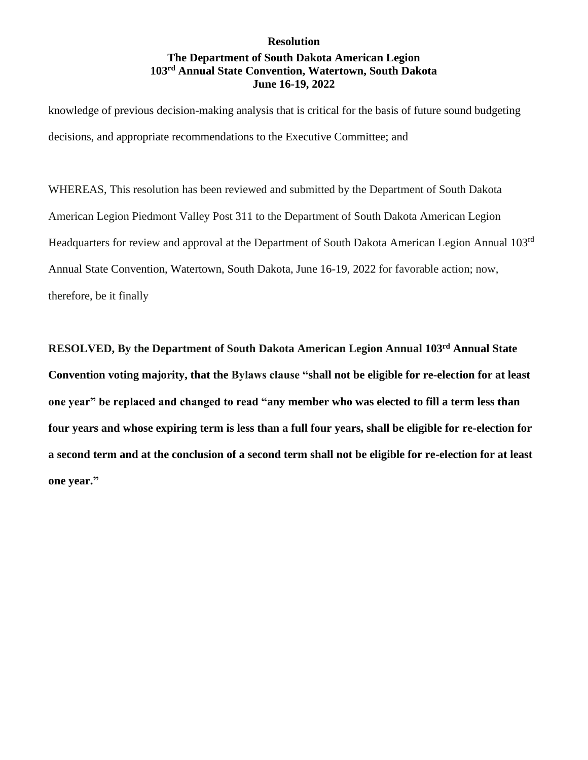## **Resolution The Department of South Dakota American Legion 103rd Annual State Convention, Watertown, South Dakota June 16-19, 2022**

knowledge of previous decision-making analysis that is critical for the basis of future sound budgeting decisions, and appropriate recommendations to the Executive Committee; and

WHEREAS, This resolution has been reviewed and submitted by the Department of South Dakota American Legion Piedmont Valley Post 311 to the Department of South Dakota American Legion Headquarters for review and approval at the Department of South Dakota American Legion Annual 103rd Annual State Convention, Watertown, South Dakota, June 16-19, 2022 for favorable action; now, therefore, be it finally

**RESOLVED, By the Department of South Dakota American Legion Annual 103rd Annual State Convention voting majority, that the Bylaws clause "shall not be eligible for re-election for at least one year" be replaced and changed to read "any member who was elected to fill a term less than four years and whose expiring term is less than a full four years, shall be eligible for re-election for a second term and at the conclusion of a second term shall not be eligible for re-election for at least one year."**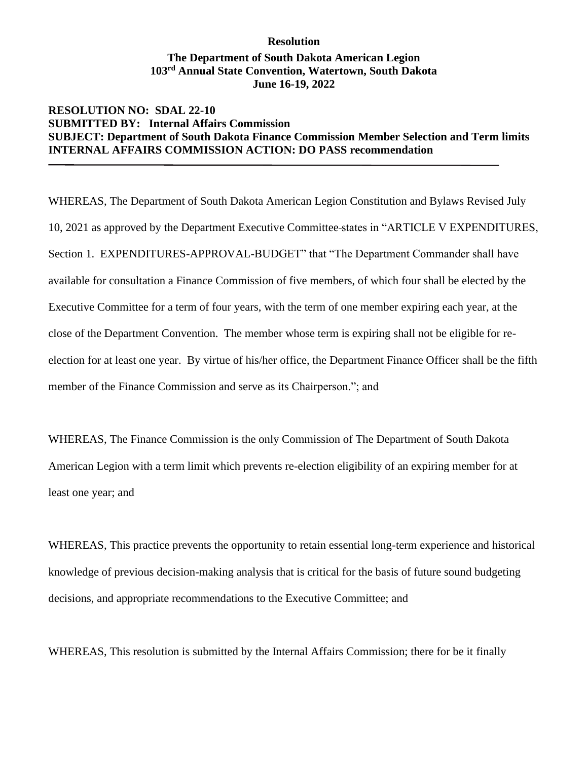## **Resolution The Department of South Dakota American Legion 103rd Annual State Convention, Watertown, South Dakota June 16-19, 2022**

## **RESOLUTION NO: SDAL 22-10 SUBMITTED BY: Internal Affairs Commission SUBJECT: Department of South Dakota Finance Commission Member Selection and Term limits INTERNAL AFFAIRS COMMISSION ACTION: DO PASS recommendation**

WHEREAS, The Department of South Dakota American Legion Constitution and Bylaws Revised July 10, 2021 as approved by the Department Executive Committee states in "ARTICLE V EXPENDITURES, Section 1. EXPENDITURES-APPROVAL-BUDGET" that "The Department Commander shall have available for consultation a Finance Commission of five members, of which four shall be elected by the Executive Committee for a term of four years, with the term of one member expiring each year, at the close of the Department Convention. The member whose term is expiring shall not be eligible for reelection for at least one year. By virtue of his/her office, the Department Finance Officer shall be the fifth member of the Finance Commission and serve as its Chairperson."; and

WHEREAS, The Finance Commission is the only Commission of The Department of South Dakota American Legion with a term limit which prevents re-election eligibility of an expiring member for at least one year; and

WHEREAS, This practice prevents the opportunity to retain essential long-term experience and historical knowledge of previous decision-making analysis that is critical for the basis of future sound budgeting decisions, and appropriate recommendations to the Executive Committee; and

WHEREAS, This resolution is submitted by the Internal Affairs Commission; there for be it finally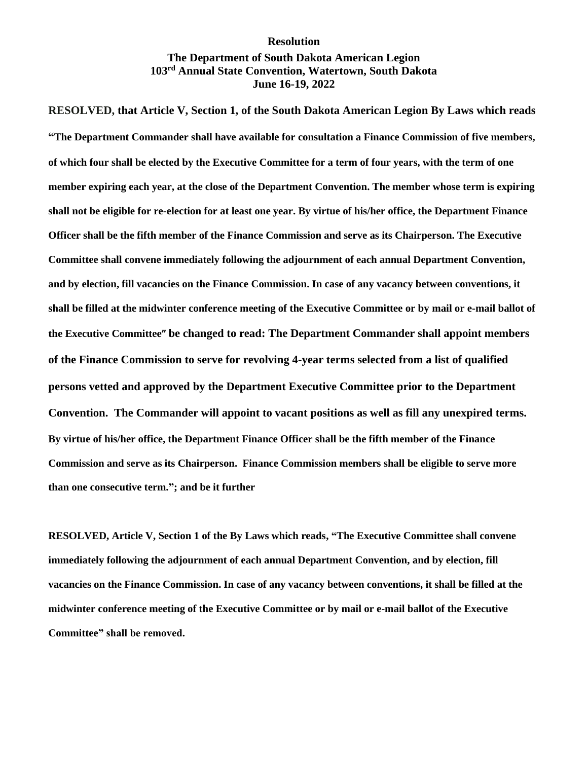#### **Resolution**

## **The Department of South Dakota American Legion 103rd Annual State Convention, Watertown, South Dakota June 16-19, 2022**

**RESOLVED, that Article V, Section 1, of the South Dakota American Legion By Laws which reads "The Department Commander shall have available for consultation a Finance Commission of five members, of which four shall be elected by the Executive Committee for a term of four years, with the term of one member expiring each year, at the close of the Department Convention. The member whose term is expiring shall not be eligible for re-election for at least one year. By virtue of his/her office, the Department Finance Officer shall be the fifth member of the Finance Commission and serve as its Chairperson. The Executive Committee shall convene immediately following the adjournment of each annual Department Convention, and by election, fill vacancies on the Finance Commission. In case of any vacancy between conventions, it shall be filled at the midwinter conference meeting of the Executive Committee or by mail or e-mail ballot of the Executive Committee" be changed to read: The Department Commander shall appoint members of the Finance Commission to serve for revolving 4-year terms selected from a list of qualified persons vetted and approved by the Department Executive Committee prior to the Department Convention. The Commander will appoint to vacant positions as well as fill any unexpired terms. By virtue of his/her office, the Department Finance Officer shall be the fifth member of the Finance Commission and serve as its Chairperson. Finance Commission members shall be eligible to serve more than one consecutive term."; and be it further**

**RESOLVED, Article V, Section 1 of the By Laws which reads, "The Executive Committee shall convene immediately following the adjournment of each annual Department Convention, and by election, fill vacancies on the Finance Commission. In case of any vacancy between conventions, it shall be filled at the midwinter conference meeting of the Executive Committee or by mail or e-mail ballot of the Executive Committee" shall be removed.**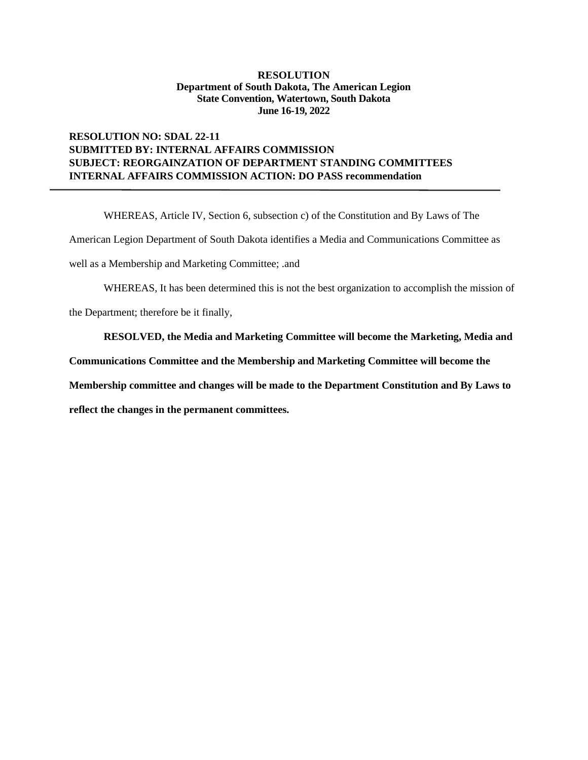### **RESOLUTION NO: SDAL 22-11 SUBMITTED BY: INTERNAL AFFAIRS COMMISSION SUBJECT: REORGAINZATION OF DEPARTMENT STANDING COMMITTEES INTERNAL AFFAIRS COMMISSION ACTION: DO PASS recommendation**

WHEREAS, Article IV, Section 6, subsection c) of the Constitution and By Laws of The American Legion Department of South Dakota identifies a Media and Communications Committee as well as a Membership and Marketing Committee; .and

WHEREAS, It has been determined this is not the best organization to accomplish the mission of

the Department; therefore be it finally,

#### **RESOLVED, the Media and Marketing Committee will become the Marketing, Media and**

**Communications Committee and the Membership and Marketing Committee will become the** 

**Membership committee and changes will be made to the Department Constitution and By Laws to** 

**reflect the changes in the permanent committees.**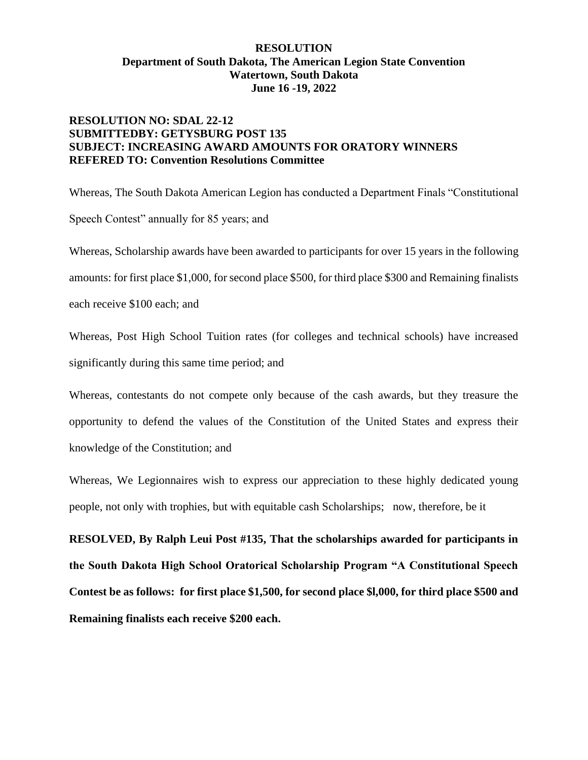## **RESOLUTION NO: SDAL 22-12 SUBMITTEDBY: GETYSBURG POST 135 SUBJECT: INCREASING AWARD AMOUNTS FOR ORATORY WINNERS REFERED TO: Convention Resolutions Committee**

Whereas, The South Dakota American Legion has conducted a Department Finals "Constitutional Speech Contest" annually for 85 years; and

Whereas, Scholarship awards have been awarded to participants for over 15 years in the following amounts: for first place \$1,000, for second place \$500, for third place \$300 and Remaining finalists each receive \$100 each; and

Whereas, Post High School Tuition rates (for colleges and technical schools) have increased significantly during this same time period; and

Whereas, contestants do not compete only because of the cash awards, but they treasure the opportunity to defend the values of the Constitution of the United States and express their knowledge of the Constitution; and

Whereas, We Legionnaires wish to express our appreciation to these highly dedicated young people, not only with trophies, but with equitable cash Scholarships; now, therefore, be it

**RESOLVED, By Ralph Leui Post #135, That the scholarships awarded for participants in the South Dakota High School Oratorical Scholarship Program "A Constitutional Speech Contest be as follows: for first place \$1,500, for second place \$l,000, for third place \$500 and Remaining finalists each receive \$200 each.**